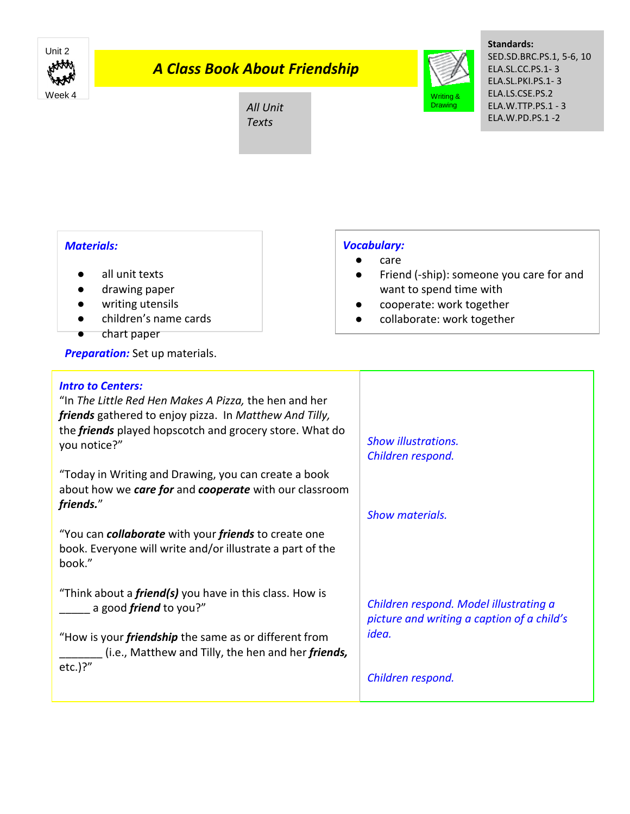

## *A Class Book About Friendship*

# All Unit *Texts*



**Standards:** SED.SD.BRC.PS.1, 5-6, 10 ELA.SL.CC.PS.1- 3 ELA.SL.PKI.PS.1- 3 ELA.LS.CSE.PS.2 ELA.W.TTP.PS.1 - 3 ELA.W.PD.PS.1 -2

### *Materials:*

- all unit texts
- drawing paper
- writing utensils
- children's name cards
- chart paper

**Preparation:** Set up materials.

#### *Vocabulary:*

- care
- Friend (-ship): someone you care for and want to spend time with
- cooperate: work together
- collaborate: work together

| <b>Intro to Centers:</b><br>"In The Little Red Hen Makes A Pizza, the hen and her<br>friends gathered to enjoy pizza. In Matthew And Tilly,<br>the <i>friends</i> played hopscotch and grocery store. What do<br>you notice?" | <b>Show illustrations.</b><br>Children respond.                                      |
|-------------------------------------------------------------------------------------------------------------------------------------------------------------------------------------------------------------------------------|--------------------------------------------------------------------------------------|
| "Today in Writing and Drawing, you can create a book<br>about how we care for and cooperate with our classroom<br>friends."                                                                                                   | <b>Show materials.</b>                                                               |
| "You can <b>collaborate</b> with your <i>friends</i> to create one<br>book. Everyone will write and/or illustrate a part of the<br>book."                                                                                     |                                                                                      |
| "Think about a <i>friend(s)</i> you have in this class. How is<br>a good <i>friend</i> to you?"                                                                                                                               | Children respond. Model illustrating a<br>picture and writing a caption of a child's |
| "How is your <i>friendship</i> the same as or different from<br>(i.e., Matthew and Tilly, the hen and her friends,<br>$etc.$ )?"                                                                                              | idea.                                                                                |
|                                                                                                                                                                                                                               | Children respond.                                                                    |